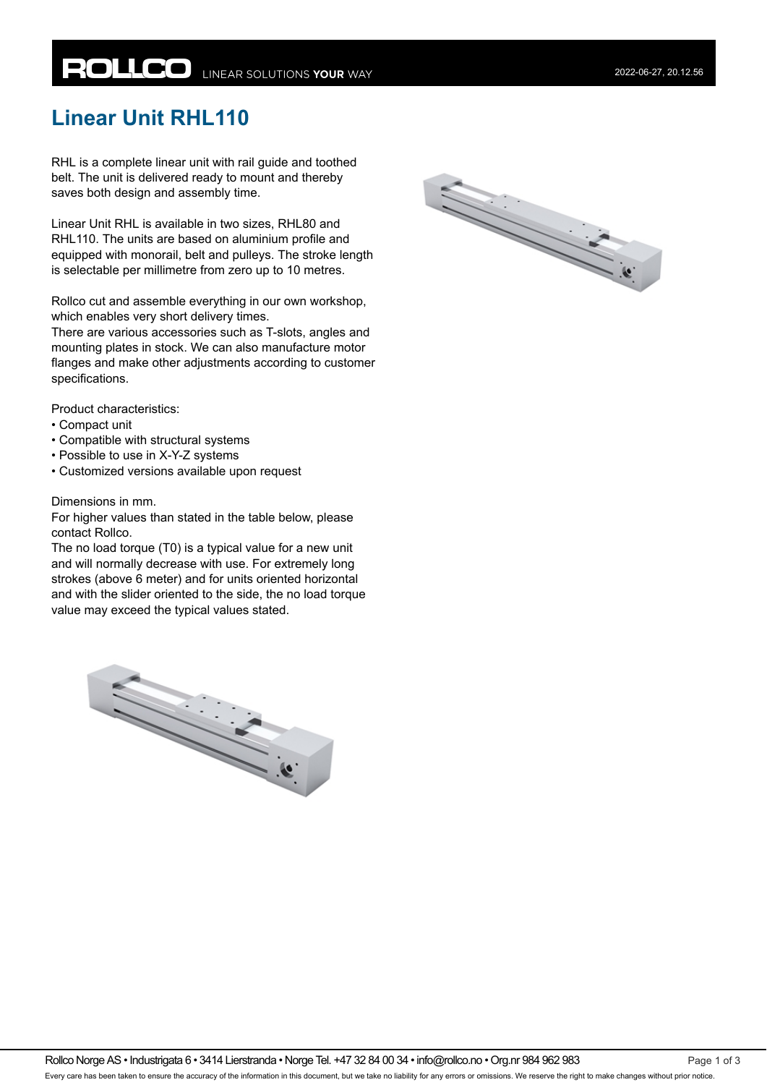# **ROLLCO** LINEAR SOLUTIONS YOUR WAY

## **Linear Unit RHL110**

RHL is a complete linear unit with rail guide and toothed belt. The unit is delivered ready to mount and thereby saves both design and assembly time.

Linear Unit RHL is available in two sizes, RHL80 and RHL110. The units are based on aluminium profile and equipped with monorail, belt and pulleys. The stroke length is selectable per millimetre from zero up to 10 metres.

Rollco cut and assemble everything in our own workshop, which enables very short delivery times.

There are various accessories such as T-slots, angles and mounting plates in stock. We can also manufacture motor flanges and make other adjustments according to customer specifications.

Product characteristics:

- Compact unit
- Compatible with structural systems
- Possible to use in X-Y-Z systems
- Customized versions available upon request

#### Dimensions in mm.

For higher values than stated in the table below, please contact Rollco.

The no load torque (T0) is a typical value for a new unit and will normally decrease with use. For extremely long strokes (above 6 meter) and for units oriented horizontal and with the slider oriented to the side, the no load torque value may exceed the typical values stated.



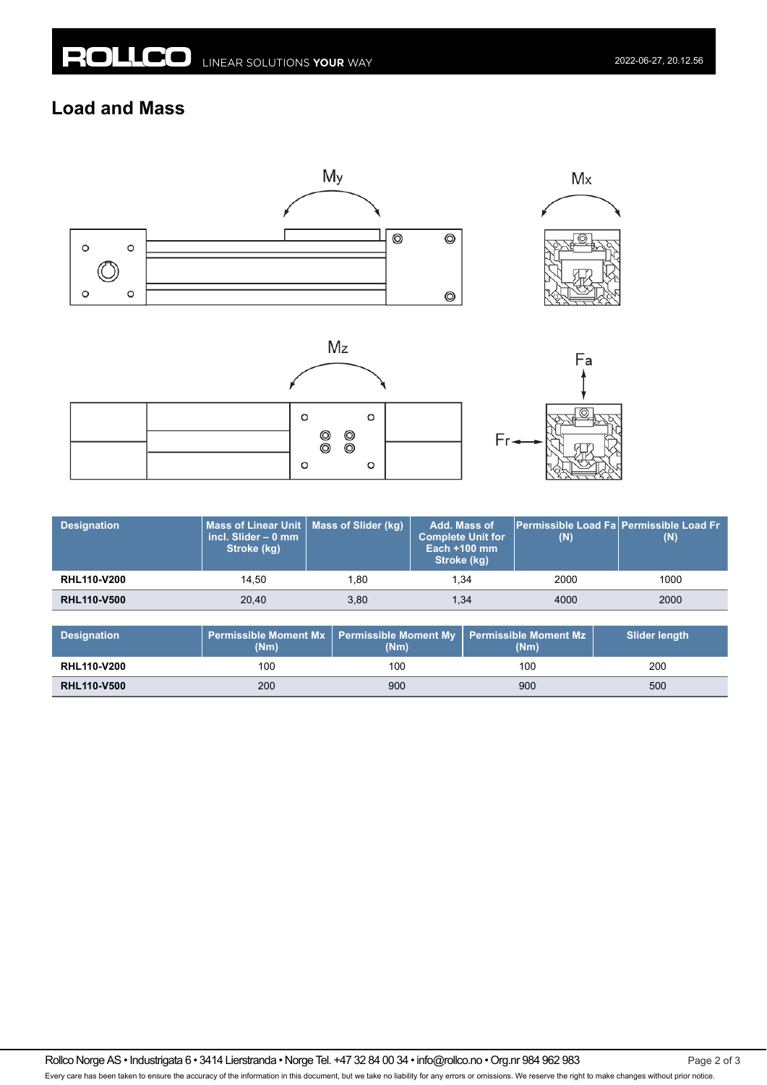### **Load and Mass**



|  | O       |                                                                                                                                                                                                                                                                                                                                                                                                                                                                                                                                                                                                                                              | O       |  |
|--|---------|----------------------------------------------------------------------------------------------------------------------------------------------------------------------------------------------------------------------------------------------------------------------------------------------------------------------------------------------------------------------------------------------------------------------------------------------------------------------------------------------------------------------------------------------------------------------------------------------------------------------------------------------|---------|--|
|  |         |                                                                                                                                                                                                                                                                                                                                                                                                                                                                                                                                                                                                                                              |         |  |
|  |         | $\begin{matrix} \circ & \circ \circ \circ \circ & \circ \circ \circ & \circ \circ \circ & \circ \circ \circ & \circ \circ \circ & \circ \circ \circ & \circ \circ & \circ \circ & \circ \circ & \circ \circ & \circ \circ & \circ \circ & \circ \circ & \circ \circ & \circ \circ & \circ \circ & \circ \circ & \circ \circ & \circ \circ & \circ \circ & \circ \circ & \circ \circ & \circ \circ & \circ \circ & \circ \circ & \circ \circ & \circ \circ & \circ \circ & \circ \circ & \circ \circ & \circ \circ & \circ \circ & \circ \circ & \circ \circ & \circ \circ & \circ \circ & \circ \circ & \circ \circ & \circ \circ & \circ \$ |         |  |
|  | $\circ$ |                                                                                                                                                                                                                                                                                                                                                                                                                                                                                                                                                                                                                                              | $\circ$ |  |
|  |         |                                                                                                                                                                                                                                                                                                                                                                                                                                                                                                                                                                                                                                              |         |  |



| <b>Designation</b> | Mass of Linear Unit   Mass of Slider (kg)<br>incl. Slider $-$ 0 mm<br>Stroke (kg) |      | Add. Mass of<br><b>Complete Unit for</b><br><b>Each +100 mm</b><br>Stroke (kg) | <b>Permissible Load Fal Permissible Load Fr</b><br>(N) | (N)  |
|--------------------|-----------------------------------------------------------------------------------|------|--------------------------------------------------------------------------------|--------------------------------------------------------|------|
| <b>RHL110-V200</b> | 14.50                                                                             | 1.80 | 1.34                                                                           | 2000                                                   | 1000 |
| <b>RHL110-V500</b> | 20.40                                                                             | 3,80 | 1,34                                                                           | 4000                                                   | 2000 |

| <b>Designation</b> | (Nm | <b>Permissible Moment Mx <math>\sqrt{ }</math> Permissible Moment My <math>\sqrt{ }</math></b><br>(Nm) | <b>Permissible Moment Mz</b><br>(Nm) | <b>Slider length</b> |
|--------------------|-----|--------------------------------------------------------------------------------------------------------|--------------------------------------|----------------------|
| <b>RHL110-V200</b> | 100 | 100                                                                                                    | 100                                  | 200                  |
| <b>RHL110-V500</b> | 200 | 900                                                                                                    | 900                                  | 500                  |

Rollco Norge AS • Industrigata 6 • 3414 Lierstranda • Norge Tel. +47 32 84 00 34 • info@rollco.no • Org.nr 984 962 983 Page 2 of 3 Every care has been taken to ensure the accuracy of the information in this document, but we take no liability for any errors or omissions. We reserve the right to make changes without prior notice.